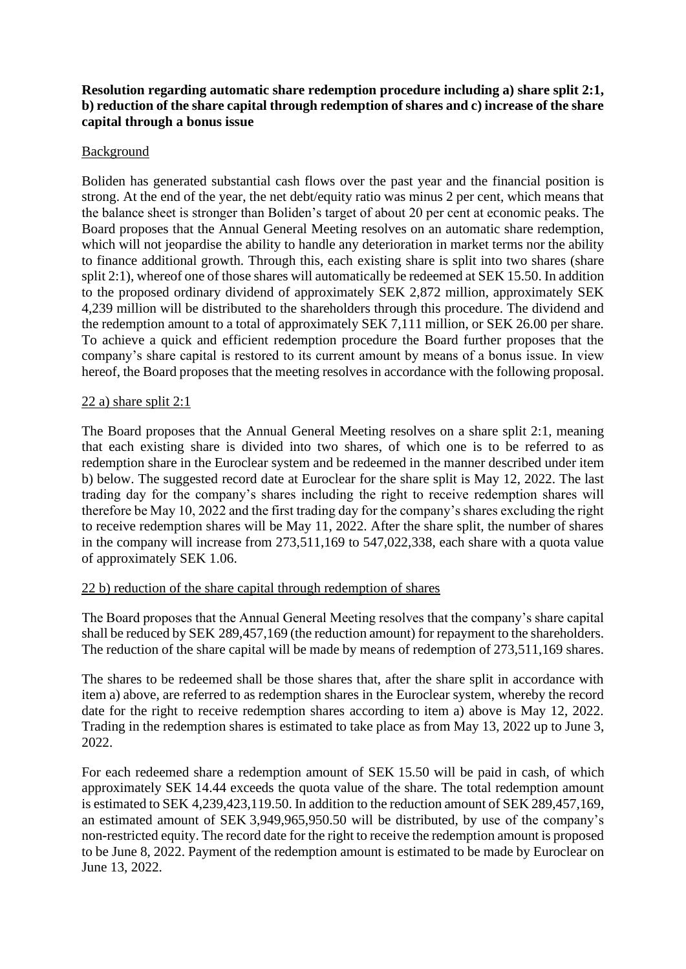# **Resolution regarding automatic share redemption procedure including a) share split 2:1, b) reduction of the share capital through redemption of shares and c) increase of the share capital through a bonus issue**

## Background

Boliden has generated substantial cash flows over the past year and the financial position is strong. At the end of the year, the net debt/equity ratio was minus 2 per cent, which means that the balance sheet is stronger than Boliden's target of about 20 per cent at economic peaks. The Board proposes that the Annual General Meeting resolves on an automatic share redemption, which will not jeopardise the ability to handle any deterioration in market terms nor the ability to finance additional growth. Through this, each existing share is split into two shares (share split 2:1), whereof one of those shares will automatically be redeemed at SEK 15.50. In addition to the proposed ordinary dividend of approximately SEK 2,872 million, approximately SEK 4,239 million will be distributed to the shareholders through this procedure. The dividend and the redemption amount to a total of approximately SEK 7,111 million, or SEK 26.00 per share. To achieve a quick and efficient redemption procedure the Board further proposes that the company's share capital is restored to its current amount by means of a bonus issue. In view hereof, the Board proposes that the meeting resolves in accordance with the following proposal.

#### 22 a) share split 2:1

The Board proposes that the Annual General Meeting resolves on a share split 2:1, meaning that each existing share is divided into two shares, of which one is to be referred to as redemption share in the Euroclear system and be redeemed in the manner described under item b) below. The suggested record date at Euroclear for the share split is May 12, 2022. The last trading day for the company's shares including the right to receive redemption shares will therefore be May 10, 2022 and the first trading day for the company's shares excluding the right to receive redemption shares will be May 11, 2022. After the share split, the number of shares in the company will increase from 273,511,169 to 547,022,338, each share with a quota value of approximately SEK 1.06.

# 22 b) reduction of the share capital through redemption of shares

The Board proposes that the Annual General Meeting resolves that the company's share capital shall be reduced by SEK 289,457,169 (the reduction amount) for repayment to the shareholders. The reduction of the share capital will be made by means of redemption of 273,511,169 shares.

The shares to be redeemed shall be those shares that, after the share split in accordance with item a) above, are referred to as redemption shares in the Euroclear system, whereby the record date for the right to receive redemption shares according to item a) above is May 12, 2022. Trading in the redemption shares is estimated to take place as from May 13, 2022 up to June 3, 2022.

For each redeemed share a redemption amount of SEK 15.50 will be paid in cash, of which approximately SEK 14.44 exceeds the quota value of the share. The total redemption amount is estimated to SEK 4,239,423,119.50. In addition to the reduction amount of SEK 289,457,169, an estimated amount of SEK 3,949,965,950.50 will be distributed, by use of the company's non-restricted equity. The record date for the right to receive the redemption amount is proposed to be June 8, 2022. Payment of the redemption amount is estimated to be made by Euroclear on June 13, 2022.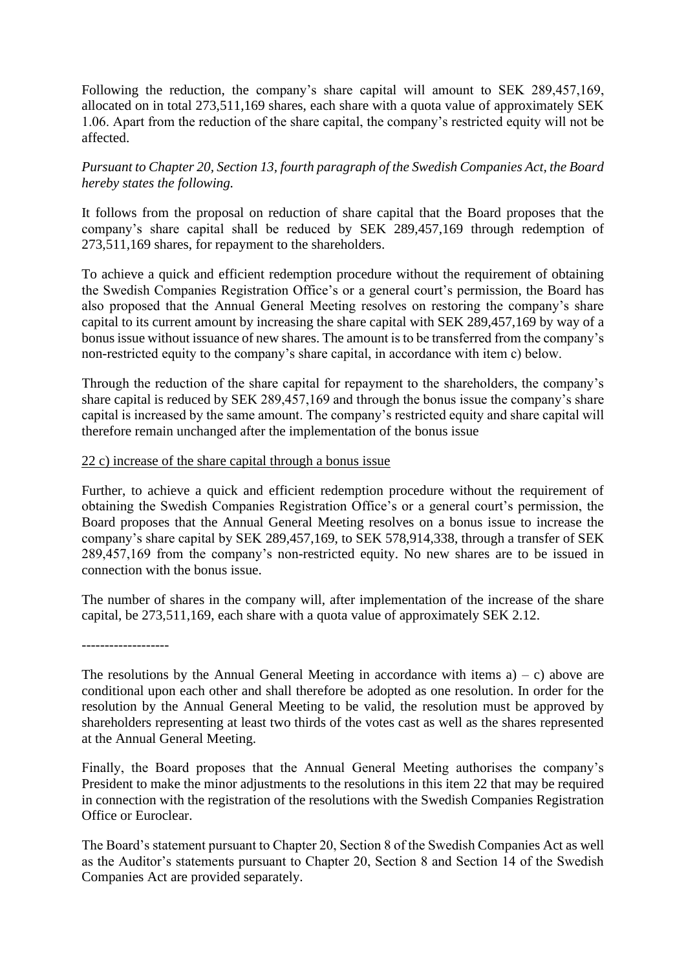Following the reduction, the company's share capital will amount to SEK 289,457,169, allocated on in total 273,511,169 shares, each share with a quota value of approximately SEK 1.06. Apart from the reduction of the share capital, the company's restricted equity will not be affected.

# *Pursuant to Chapter 20, Section 13, fourth paragraph of the Swedish Companies Act, the Board hereby states the following.*

It follows from the proposal on reduction of share capital that the Board proposes that the company's share capital shall be reduced by SEK 289,457,169 through redemption of 273,511,169 shares, for repayment to the shareholders.

To achieve a quick and efficient redemption procedure without the requirement of obtaining the Swedish Companies Registration Office's or a general court's permission, the Board has also proposed that the Annual General Meeting resolves on restoring the company's share capital to its current amount by increasing the share capital with SEK 289,457,169 by way of a bonus issue without issuance of new shares. The amount is to be transferred from the company's non-restricted equity to the company's share capital, in accordance with item c) below.

Through the reduction of the share capital for repayment to the shareholders, the company's share capital is reduced by SEK 289,457,169 and through the bonus issue the company's share capital is increased by the same amount. The company's restricted equity and share capital will therefore remain unchanged after the implementation of the bonus issue

#### 22 c) increase of the share capital through a bonus issue

Further, to achieve a quick and efficient redemption procedure without the requirement of obtaining the Swedish Companies Registration Office's or a general court's permission, the Board proposes that the Annual General Meeting resolves on a bonus issue to increase the company's share capital by SEK 289,457,169, to SEK 578,914,338, through a transfer of SEK 289,457,169 from the company's non-restricted equity. No new shares are to be issued in connection with the bonus issue.

The number of shares in the company will, after implementation of the increase of the share capital, be 273,511,169, each share with a quota value of approximately SEK 2.12.

-------------------

The resolutions by the Annual General Meeting in accordance with items  $a$ ) – c) above are conditional upon each other and shall therefore be adopted as one resolution. In order for the resolution by the Annual General Meeting to be valid, the resolution must be approved by shareholders representing at least two thirds of the votes cast as well as the shares represented at the Annual General Meeting.

Finally, the Board proposes that the Annual General Meeting authorises the company's President to make the minor adjustments to the resolutions in this item 22 that may be required in connection with the registration of the resolutions with the Swedish Companies Registration Office or Euroclear.

The Board's statement pursuant to Chapter 20, Section 8 of the Swedish Companies Act as well as the Auditor's statements pursuant to Chapter 20, Section 8 and Section 14 of the Swedish Companies Act are provided separately.